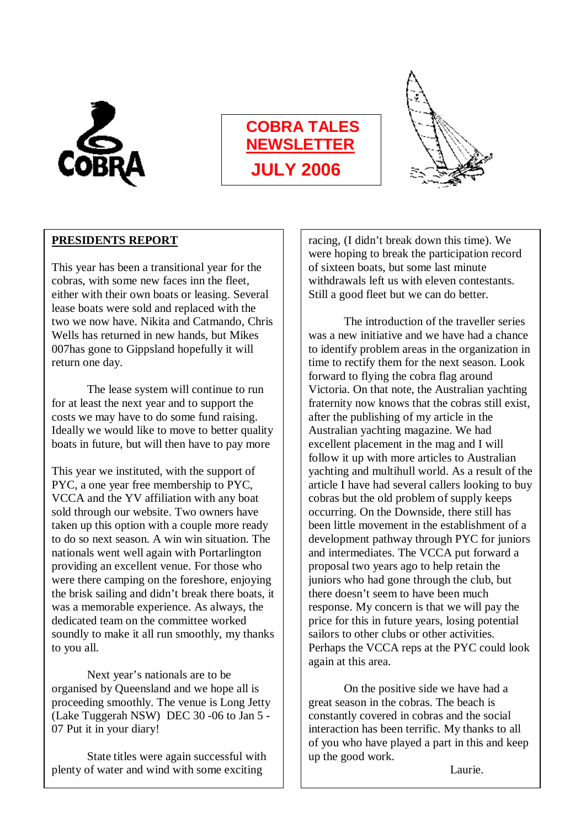

# **COBRA TALES NEWSLETTER JULY 2006**

I I

 $\overline{a}$ 



### **PRESIDENTS REPORT**

This year has been a transitional year for the cobras, with some new faces inn the fleet, either with their own boats or leasing. Several lease boats were sold and replaced with the two we now have. Nikita and Catmando, Chris Wells has returned in new hands, but Mikes 007has gone to Gippsland hopefully it will return one day.

The lease system will continue to run for at least the next year and to support the costs we may have to do some fund raising. Ideally we would like to move to better quality boats in future, but will then have to pay more

This year we instituted, with the support of PYC, a one year free membership to PYC, VCCA and the YV affiliation with any boat sold through our website. Two owners have taken up this option with a couple more ready to do so next season. A win win situation. The nationals went well again with Portarlington providing an excellent venue. For those who were there camping on the foreshore, enjoying the brisk sailing and didn't break there boats, it was a memorable experience. As always, the dedicated team on the committee worked soundly to make it all run smoothly, my thanks to you all.

Next year's nationals are to be organised by Queensland and we hope all is proceeding smoothly. The venue is Long Jetty (Lake Tuggerah NSW) DEC 30 -06 to Jan 5 - 07 Put it in your diary!

State titles were again successful with plenty of water and wind with some exciting

racing, (I didn't break down this time). We were hoping to break the participation record of sixteen boats, but some last minute withdrawals left us with eleven contestants. Still a good fleet but we can do better.

The introduction of the traveller series was a new initiative and we have had a chance to identify problem areas in the organization in time to rectify them for the next season. Look forward to flying the cobra flag around Victoria. On that note, the Australian yachting fraternity now knows that the cobras still exist, after the publishing of my article in the Australian yachting magazine. We had excellent placement in the mag and I will follow it up with more articles to Australian yachting and multihull world. As a result of the article I have had several callers looking to buy cobras but the old problem of supply keeps occurring. On the Downside, there still has been little movement in the establishment of a development pathway through PYC for juniors and intermediates. The VCCA put forward a proposal two years ago to help retain the juniors who had gone through the club, but there doesn't seem to have been much response. My concern is that we will pay the price for this in future years, losing potential sailors to other clubs or other activities. Perhaps the VCCA reps at the PYC could look again at this area.

On the positive side we have had a great season in the cobras. The beach is constantly covered in cobras and the social interaction has been terrific. My thanks to all of you who have played a part in this and keep up the good work.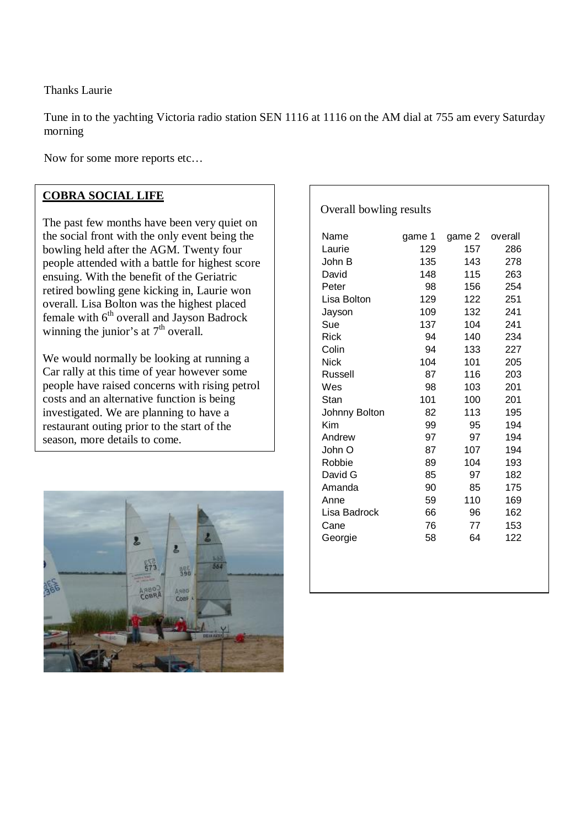Thanks Laurie

Tune in to the yachting Victoria radio station SEN 1116 at 1116 on the AM dial at 755 am every Saturday morning

Now for some more reports etc…

#### **COBRA SOCIAL LIFE**

The past few months have been very quiet on the social front with the only event being the bowling held after the AGM. Twenty four people attended with a battle for highest score ensuing. With the benefit of the Geriatric retired bowling gene kicking in, Laurie won overall. Lisa Bolton was the highest placed female with  $6<sup>th</sup>$  overall and Jayson Badrock winning the junior's at  $7<sup>th</sup>$  overall.

We would normally be looking at running a Car rally at this time of year however some people have raised concerns with rising petrol costs and an alternative function is being investigated. We are planning to have a restaurant outing prior to the start of the season, more details to come.



| Name           | game 1 | game 2 | overall |
|----------------|--------|--------|---------|
| Laurie         | 129    | 157    | 286     |
| John B         | 135    | 143    | 278     |
| David          | 148    | 115    | 263     |
| Peter          | 98     | 156    | 254     |
| Lisa Bolton    | 129    | 122    | 251     |
| Jayson         | 109    | 132    | 241     |
| Sue            | 137    | 104    | 241     |
| <b>Rick</b>    | 94     | 140    | 234     |
| Colin          | 94     | 133    | 227     |
| <b>Nick</b>    | 104    | 101    | 205     |
| <b>Russell</b> | 87     | 116    | 203     |
| Wes            | 98     | 103    | 201     |
| Stan           | 101    | 100    | 201     |
| Johnny Bolton  | 82     | 113    | 195     |
| Kim            | 99     | 95     | 194     |
| Andrew         | 97     | 97     | 194     |
| John O         | 87     | 107    | 194     |
| Robbie         | 89     | 104    | 193     |
| David G        | 85     | 97     | 182     |
| Amanda         | 90     | 85     | 175     |
| Anne           | 59     | 110    | 169     |
| Lisa Badrock   | 66     | 96     | 162     |
| Cane           | 76     | 77     | 153     |
| Georgie        | 58     | 64     | 122     |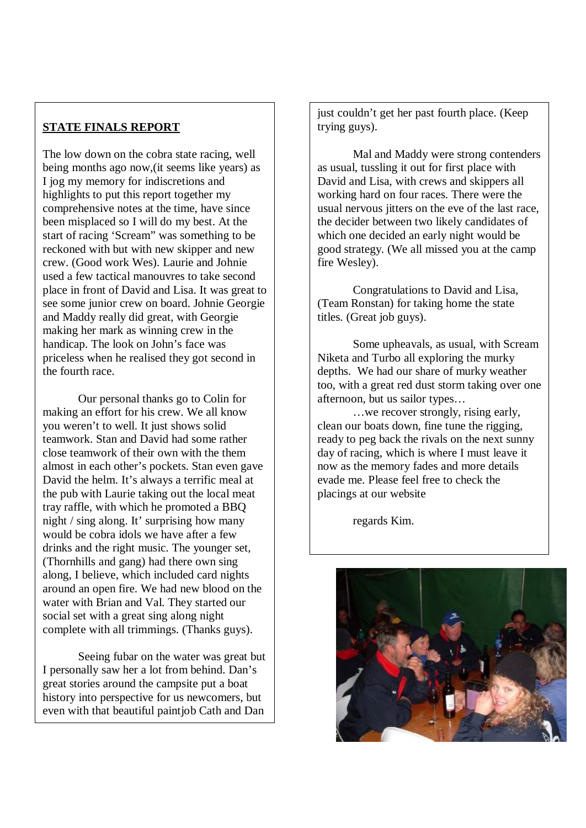#### **STATE FINALS REPORT**

 start of racing 'Scream" was something to be The low down on the cobra state racing, well being months ago now,(it seems like years) as I jog my memory for indiscretions and highlights to put this report together my comprehensive notes at the time, have since been misplaced so I will do my best. At the reckoned with but with new skipper and new crew. (Good work Wes). Laurie and Johnie used a few tactical manouvres to take second place in front of David and Lisa. It was great to see some junior crew on board. Johnie Georgie and Maddy really did great, with Georgie making her mark as winning crew in the handicap. The look on John's face was priceless when he realised they got second in the fourth race.

 night / sing along. It' surprising how many Our personal thanks go to Colin for making an effort for his crew. We all know you weren't to well. It just shows solid teamwork. Stan and David had some rather close teamwork of their own with the them almost in each other's pockets. Stan even gave David the helm. It's always a terrific meal at the pub with Laurie taking out the local meat tray raffle, with which he promoted a BBQ would be cobra idols we have after a few drinks and the right music. The younger set, (Thornhills and gang) had there own sing along, I believe, which included card nights around an open fire. We had new blood on the water with Brian and Val. They started our social set with a great sing along night complete with all trimmings. (Thanks guys).

Seeing fubar on the water was great but I personally saw her a lot from behind. Dan's great stories around the campsite put a boat history into perspective for us newcomers, but even with that beautiful paintjob Cath and Dan

just couldn't get her past fourth place. (Keep trying guys).

Mal and Maddy were strong contenders as usual, tussling it out for first place with David and Lisa, with crews and skippers all working hard on four races. There were the usual nervous jitters on the eve of the last race, the decider between two likely candidates of which one decided an early night would be good strategy. (We all missed you at the camp fire Wesley).

Congratulations to David and Lisa, (Team Ronstan) for taking home the state titles. (Great job guys).

Some upheavals, as usual, with Scream Niketa and Turbo all exploring the murky depths. We had our share of murky weather too, with a great red dust storm taking over one afternoon, but us sailor types…

…we recover strongly, rising early, clean our boats down, fine tune the rigging, ready to peg back the rivals on the next sunny day of racing, which is where I must leave it now as the memory fades and more details evade me. Please feel free to check the placings at our website

regards Kim.

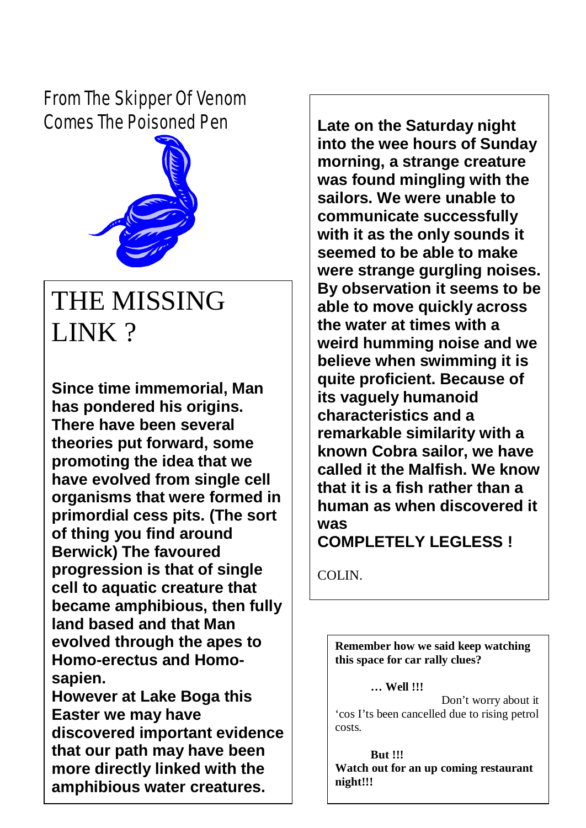*From The Skipper Of Venom Comes The Poisoned Pen*



# THE MISSING LINK?

**Since time immemorial, Man has pondered his origins. There have been several theories put forward, some promoting the idea that we have evolved from single cell organisms that were formed in primordial cess pits. (The sort of thing you find around Berwick) The favoured progression is that of single cell to aquatic creature that became amphibious, then fully land based and that Man evolved through the apes to Homo-erectus and Homosapien.** 

**However at Lake Boga this Easter we may have discovered important evidence that our path may have been more directly linked with the amphibious water creatures.** 

**Late on the Saturday night into the wee hours of Sunday morning, a strange creature was found mingling with the sailors. We were unable to communicate successfully with it as the only sounds it seemed to be able to make were strange gurgling noises. By observation it seems to be able to move quickly across the water at times with a weird humming noise and we believe when swimming it is quite proficient. Because of its vaguely humanoid characteristics and a remarkable similarity with a known Cobra sailor, we have called it the Malfish. We know that it is a fish rather than a human as when discovered it was** 

**COMPLETELY LEGLESS !** 

COLIN.

costs.

**Remember how we said keep watching this space for car rally clues?** 

**… Well !!!** Don't worry about it 'cos I'ts been cancelled due to rising petrol

**But !!! Watch out for an up coming restaurant night!!!**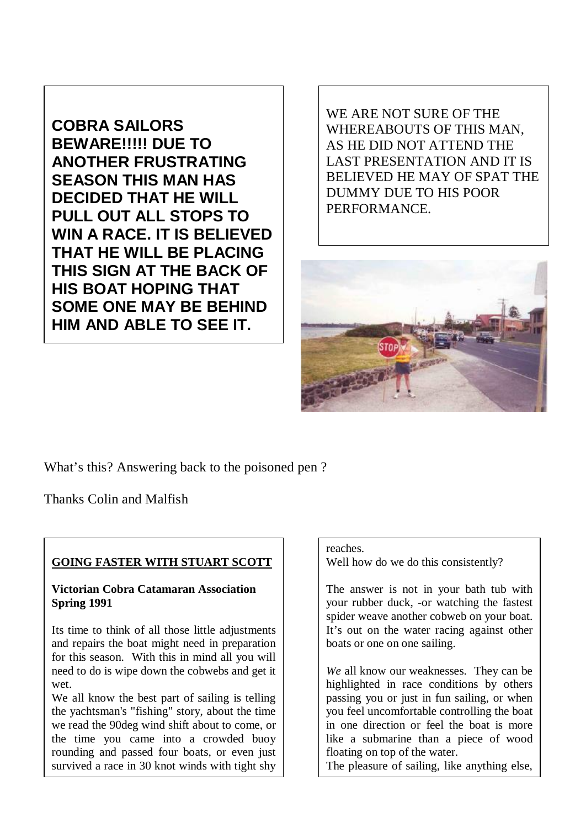**COBRA SAILORS BEWARE!!!!! DUE TO ANOTHER FRUSTRATING SEASON THIS MAN HAS DECIDED THAT HE WILL PULL OUT ALL STOPS TO WIN A RACE. IT IS BELIEVED THAT HE WILL BE PLACING THIS SIGN AT THE BACK OF HIS BOAT HOPING THAT SOME ONE MAY BE BEHIND HIM AND ABLE TO SEE IT.** 

WE ARE NOT SURE OF THE WHEREABOUTS OF THIS MAN, AS HE DID NOT ATTEND THE LAST PRESENTATION AND IT IS BELIEVED HE MAY OF SPAT THE DUMMY DUE TO HIS POOR PERFORMANCE.



What's this? Answering back to the poisoned pen ?

Thanks Colin and Malfish

#### **GOING FASTER WITH STUART SCOTT**

#### **Victorian Cobra Catamaran Association Spring 1991**

Its time to think of all those little adjustments and repairs the boat might need in preparation for this season. With this in mind all you will need to do is wipe down the cobwebs and get it wet.

We all know the best part of sailing is telling the yachtsman's "fishing" story, about the time we read the 90deg wind shift about to come, or the time you came into a crowded buoy rounding and passed four boats, or even just survived a race in 30 knot winds with tight shy

#### reaches.

Well how do we do this consistently?

The answer is not in your bath tub with your rubber duck, -or watching the fastest spider weave another cobweb on your boat. It's out on the water racing against other boats or one on one sailing.

*We* all know our weaknesses. They can be highlighted in race conditions by others passing you or just in fun sailing, or when you feel uncomfortable controlling the boat in one direction or feel the boat is more like a submarine than a piece of wood floating on top of the water.

The pleasure of sailing, like anything else,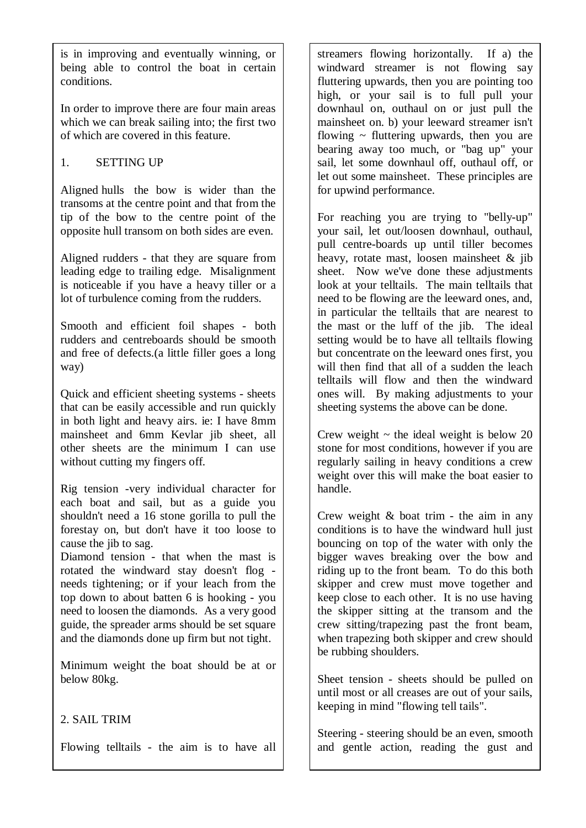is in improving and eventually winning, or being able to control the boat in certain conditions.

In order to improve there are four main areas which we can break sailing into; the first two of which are covered in this feature.

#### 1. SETTING UP

Aligned hulls the bow is wider than the transoms at the centre point and that from the tip of the bow to the centre point of the opposite hull transom on both sides are even.

Aligned rudders - that they are square from leading edge to trailing edge. Misalignment is noticeable if you have a heavy tiller or a lot of turbulence coming from the rudders.

Smooth and efficient foil shapes - both rudders and centreboards should be smooth and free of defects.(a little filler goes a long way)

Quick and efficient sheeting systems - sheets that can be easily accessible and run quickly in both light and heavy airs. ie: I have 8mm mainsheet and 6mm Kevlar jib sheet, all other sheets are the minimum I can use without cutting my fingers off.

Rig tension -very individual character for each boat and sail, but as a guide you shouldn't need a 16 stone gorilla to pull the forestay on, but don't have it too loose to cause the jib to sag.

Diamond tension - that when the mast is rotated the windward stay doesn't flog needs tightening; or if your leach from the top down to about batten 6 is hooking - you need to loosen the diamonds. As a very good guide, the spreader arms should be set square and the diamonds done up firm but not tight.

Minimum weight the boat should be at or below 80kg.

#### 2. SAIL TRIM

Flowing telltails - the aim is to have all

streamers flowing horizontally. If a) the windward streamer is not flowing say fluttering upwards, then you are pointing too high, or your sail is to full pull your downhaul on, outhaul on or just pull the mainsheet on. b) your leeward streamer isn't flowing  $\sim$  fluttering upwards, then you are bearing away too much, or "bag up" your sail, let some downhaul off, outhaul off, or let out some mainsheet. These principles are for upwind performance.

For reaching you are trying to "belly-up" your sail, let out/loosen downhaul, outhaul, pull centre-boards up until tiller becomes heavy, rotate mast, loosen mainsheet & jib sheet. Now we've done these adjustments look at your telltails. The main telltails that need to be flowing are the leeward ones, and, in particular the telltails that are nearest to the mast or the luff of the jib. The ideal setting would be to have all telltails flowing but concentrate on the leeward ones first, you will then find that all of a sudden the leach telltails will flow and then the windward ones will. By making adjustments to your sheeting systems the above can be done.

Crew weight  $\sim$  the ideal weight is below 20 stone for most conditions, however if you are regularly sailing in heavy conditions a crew weight over this will make the boat easier to handle.

Crew weight & boat trim - the aim in any conditions is to have the windward hull just bouncing on top of the water with only the bigger waves breaking over the bow and riding up to the front beam. To do this both skipper and crew must move together and keep close to each other. It is no use having the skipper sitting at the transom and the crew sitting/trapezing past the front beam, when trapezing both skipper and crew should be rubbing shoulders.

Sheet tension - sheets should be pulled on until most or all creases are out of your sails, keeping in mind "flowing tell tails".

Steering - steering should be an even, smooth and gentle action, reading the gust and